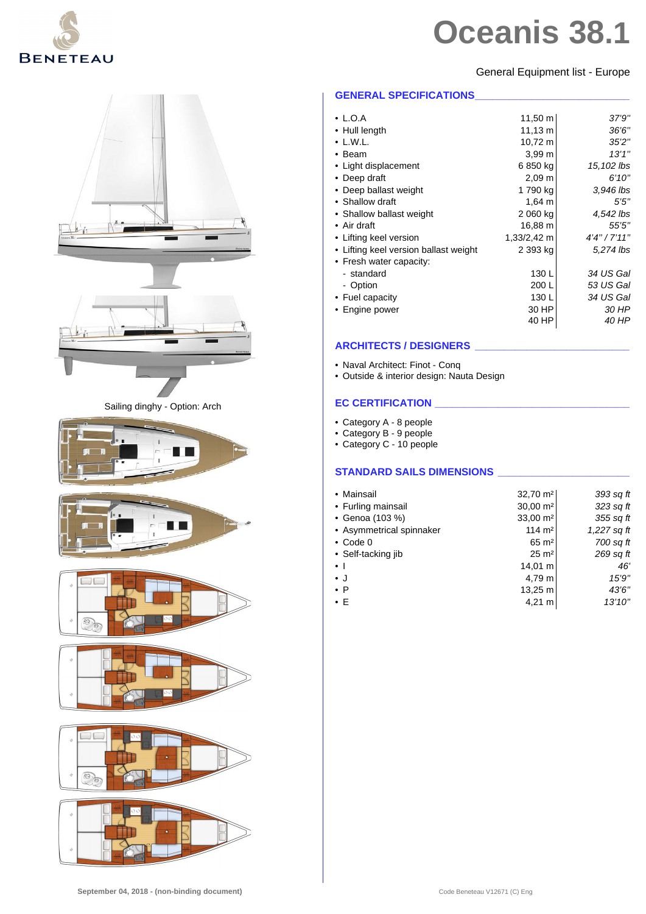

#### General Equipment list - Europe



| $\cdot$ L.O.A                         | $11,50 \; \text{m}$ | 37'9"        |
|---------------------------------------|---------------------|--------------|
| • Hull length                         | $11,13 \; m$        | 36'6''       |
| $\bullet$ L.W.L.                      | 10,72 m             | 352"         |
| $\cdot$ Beam                          | 3,99 m              | 13'1''       |
| • Light displacement                  | 6 850 kg            | 15,102 lbs   |
| • Deep draft                          | $2,09 \; m$         | 6'10''       |
| • Deep ballast weight                 | 1 790 kg            | 3,946 lbs    |
| • Shallow draft                       | $1,64 \; m$         | 5'5''        |
| • Shallow ballast weight              | 2 060 kg            | 4,542 lbs    |
| $\bullet$ Air draft                   | 16,88 m             | 55'5"        |
| • Lifting keel version                | 1,33/2,42 m         | 4'4''/7'11'' |
| • Lifting keel version ballast weight | 2 393 kg            | 5,274 lbs    |
| • Fresh water capacity:               |                     |              |
| - standard                            | 130 L               | 34 US Gal    |
| - Option                              | 200 L               | 53 US Gal    |
| • Fuel capacity                       | 130 L               | 34 US Gal    |
| • Engine power                        | 30 HP               | 30 HP        |
|                                       | 40 HP               | 40 HP        |
|                                       |                     |              |

# **ARCHITECTS / DESIGNERS \_\_\_\_\_\_\_\_\_\_\_\_\_\_\_\_\_\_\_\_\_\_\_\_\_\_\_**

- Naval Architect: Finot Conq
- Outside & interior design: Nauta Design

# **EC CERTIFICATION \_\_\_\_\_\_\_\_\_\_\_\_\_\_\_\_\_\_\_\_\_\_\_\_\_\_\_\_\_\_\_\_\_\_**

- Category A 8 people
- Category B 9 people
- Category C 10 people

# **STANDARD SAILS DIMENSIONS \_\_\_\_\_\_\_\_\_\_\_\_\_\_\_\_\_\_\_\_\_\_\_**

| • Mainsail               | 32,70 m <sup>2</sup> | 393 sq ft     |
|--------------------------|----------------------|---------------|
| • Furling mainsail       | 30,00 m <sup>2</sup> | 323 sq ft     |
| • Genoa (103 %)          | $33,00 \text{ m}^2$  | 355 sq ft     |
| • Asymmetrical spinnaker | $114 \text{ m}^2$    | $1,227$ sq ft |
| $\bullet$ Code 0         | $65 \text{ m}^2$     | 700 sq ft     |
| • Self-tacking jib       | $25 \text{ m}^2$     | 269 sq ft     |
| $\bullet$ 1              | 14,01 m              | 46'           |
| $\bullet$ J              | 4,79 m               | 15'9"         |
| $\bullet$ P              | 13,25 m              | 43'6"         |
| $\bullet$ E              | $4,21 \; m$          | 13'10''       |
|                          |                      |               |



Sailing dinghy - Option: Arch









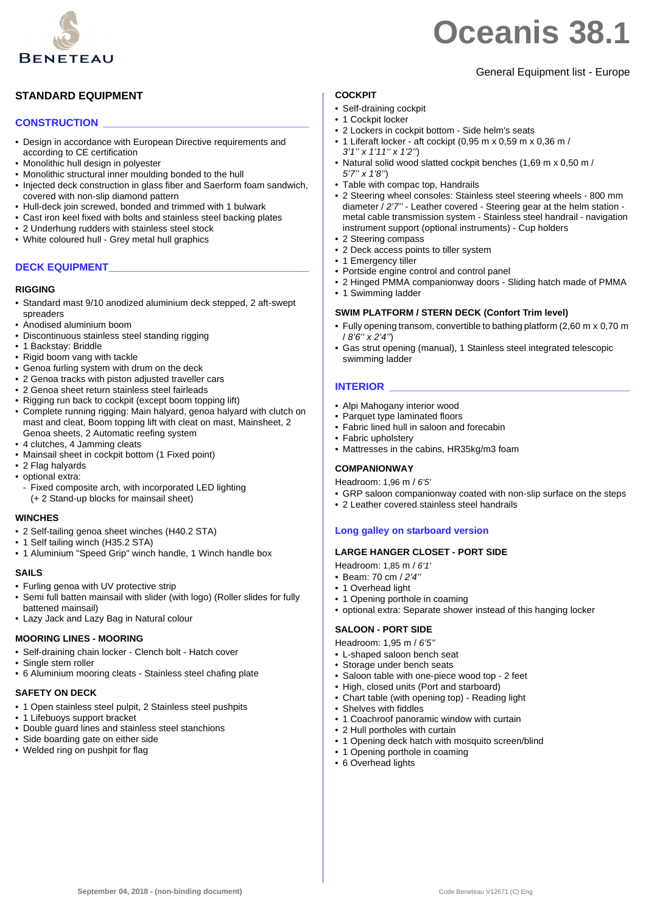

# General Equipment list - Europe

# **STANDARD EQUIPMENT**

### **CONSTRUCTION \_\_\_\_\_\_\_\_\_\_\_\_\_\_\_\_\_\_\_\_\_\_\_\_\_\_\_\_\_\_\_\_\_\_\_\_**

- Design in accordance with European Directive requirements and according to CE certification
- Monolithic hull design in polyester
- Monolithic structural inner moulding bonded to the hull
- Injected deck construction in glass fiber and Saerform foam sandwich, covered with non-slip diamond pattern
- Hull-deck join screwed, bonded and trimmed with 1 bulwark
- Cast iron keel fixed with bolts and stainless steel backing plates
- 2 Underhung rudders with stainless steel stock
- White coloured hull Grey metal hull graphics

#### **DECK EQUIPMENT\_\_\_\_\_\_\_\_\_\_\_\_\_\_\_\_\_\_\_\_\_\_\_\_\_\_\_\_\_\_\_\_\_\_\_**

#### **RIGGING**

- Standard mast 9/10 anodized aluminium deck stepped, 2 aft-swept spreaders
- Anodised aluminium boom
- Discontinuous stainless steel standing rigging
- 1 Backstay: Briddle
- Rigid boom vang with tackle
- Genoa furling system with drum on the deck
- 2 Genoa tracks with piston adjusted traveller cars
- 2 Genoa sheet return stainless steel fairleads
- Rigging run back to cockpit (except boom topping lift)
- Complete running rigging: Main halyard, genoa halyard with clutch on mast and cleat, Boom topping lift with cleat on mast, Mainsheet, 2 Genoa sheets, 2 Automatic reefing system
- 4 clutches, 4 Jamming cleats
- Mainsail sheet in cockpit bottom (1 Fixed point)
- 2 Flag halyards
- optional extra:
	- Fixed composite arch, with incorporated LED lighting (+ 2 Stand-up blocks for mainsail sheet)

#### **WINCHES**

- 2 Self-tailing genoa sheet winches (H40.2 STA)
- 1 Self tailing winch (H35.2 STA)
- 1 Aluminium "Speed Grip" winch handle, 1 Winch handle box

#### **SAILS**

- Furling genoa with UV protective strip
- Semi full batten mainsail with slider (with logo) (Roller slides for fully battened mainsail)
- Lazy Jack and Lazy Bag in Natural colour

#### **MOORING LINES - MOORING**

- Self-draining chain locker Clench bolt Hatch cover
- Single stem roller
- 6 Aluminium mooring cleats Stainless steel chafing plate

#### **SAFETY ON DECK**

- 1 Open stainless steel pulpit, 2 Stainless steel pushpits
- 1 Lifebuoys support bracket
- Double guard lines and stainless steel stanchions
- Side boarding gate on either side
- Welded ring on pushpit for flag

#### **COCKPIT**

- Self-draining cockpit
- 1 Cockpit locker
- 2 Lockers in cockpit bottom Side helm's seats
- 1 Liferaft locker aft cockipt (0,95 m x 0,59 m x 0,36 m / *3'1'' x 1'11'' x 1'2''*)
- Natural solid wood slatted cockpit benches (1,69 m x 0,50 m / *5'7'' x 1'8''*)
- Table with compac top, Handrails
- 2 Steering wheel consoles: Stainless steel steering wheels 800 mm diameter / *2'7''* - Leather covered - Steering gear at the helm station metal cable transmission system - Stainless steel handrail - navigation instrument support (optional instruments) - Cup holders
- 2 Steering compass
- 2 Deck access points to tiller system
- 1 Emergency tiller
- Portside engine control and control panel
- 2 Hinged PMMA companionway doors Sliding hatch made of PMMA
- 1 Swimming ladder

#### **SWIM PLATFORM / STERN DECK (Confort Trim level)**

- Fully opening transom, convertible to bathing platform (2,60 m x 0,70 m / *8'6'' x 2'4''*)
- Gas strut opening (manual), 1 Stainless steel integrated telescopic swimming ladder

#### **INTERIOR**

- Alpi Mahogany interior wood
- Parquet type laminated floors
- Fabric lined hull in saloon and forecabin
- Fabric upholstery
- Mattresses in the cabins, HR35kg/m3 foam

#### **COMPANIONWAY**

Headroom: 1,96 m / *6'5'*

- GRP saloon companionway coated with non-slip surface on the steps
- 2 Leather covered stainless steel handrails

#### **Long galley on starboard version**

#### **LARGE HANGER CLOSET - PORT SIDE**

- Headroom: 1,85 m / *6'1'*
- Beam: 70 cm / *2'4''*
- 1 Overhead light
- 1 Opening porthole in coaming
- optional extra: Separate shower instead of this hanging locker

#### **SALOON - PORT SIDE**

- Headroom: 1,95 m / *6'5''*
- L-shaped saloon bench seat
- Storage under bench seats
- Saloon table with one-piece wood top 2 feet
- High, closed units (Port and starboard)
- Chart table (with opening top) Reading light
- Shelves with fiddles
- 1 Coachroof panoramic window with curtain
- 2 Hull portholes with curtain
- 1 Opening deck hatch with mosquito screen/blind
- 1 Opening porthole in coaming
- 6 Overhead lights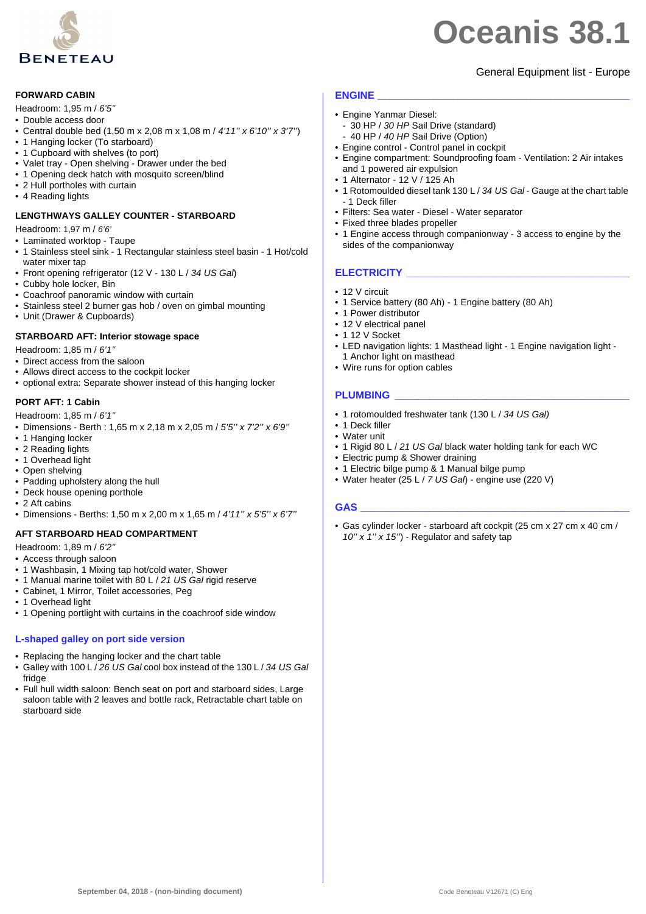

# General Equipment list - Europe

#### **FORWARD CABIN**

- Headroom: 1,95 m / *6'5''*
- Double access door
- Central double bed (1,50 m x 2,08 m x 1,08 m / *4'11'' x 6'10'' x 3'7''*)
- 1 Hanging locker (To starboard)
- 1 Cupboard with shelves (to port)
- Valet tray Open shelving Drawer under the bed
- 1 Opening deck hatch with mosquito screen/blind
- 2 Hull portholes with curtain
- 4 Reading lights

#### **LENGTHWAYS GALLEY COUNTER - STARBOARD**

Headroom: 1,97 m / *6'6'*

- Laminated worktop Taupe
- 1 Stainless steel sink 1 Rectangular stainless steel basin 1 Hot/cold water mixer tap
- Front opening refrigerator (12 V 130 L / *34 US Gal*)
- Cubby hole locker, Bin
- Coachroof panoramic window with curtain
- Stainless steel 2 burner gas hob / oven on gimbal mounting
- Unit (Drawer & Cupboards)

#### **STARBOARD AFT: Interior stowage space**

Headroom: 1,85 m / *6'1''*

- Direct access from the saloon
- Allows direct access to the cockpit locker
- optional extra: Separate shower instead of this hanging locker

#### **PORT AFT: 1 Cabin**

- Headroom: 1,85 m / *6'1''*
- Dimensions Berth : 1,65 m x 2,18 m x 2,05 m / *5'5'' x 7'2'' x 6'9''*
- 1 Hanging locker
- 2 Reading lights
- 1 Overhead light
- Open shelving
- Padding upholstery along the hull
- Deck house opening porthole
- 2 Aft cabins
- Dimensions Berths: 1,50 m x 2,00 m x 1,65 m / *4'11'' x 5'5'' x 6'7''*

#### **AFT STARBOARD HEAD COMPARTMENT**

- Headroom: 1,89 m / *6'2''*
- Access through saloon
- 1 Washbasin, 1 Mixing tap hot/cold water, Shower
- 1 Manual marine toilet with 80 L / *21 US Gal* rigid reserve
- Cabinet, 1 Mirror, Toilet accessories, Peg
- 1 Overhead light
- 1 Opening portlight with curtains in the coachroof side window

#### **L-shaped galley on port side version**

- Replacing the hanging locker and the chart table
- Galley with 100 L / *26 US Gal* cool box instead of the 130 L / *34 US Gal* fridge
- Full hull width saloon: Bench seat on port and starboard sides, Large saloon table with 2 leaves and bottle rack, Retractable chart table on starboard side

#### **ENGINE \_\_\_\_\_\_\_\_\_\_\_\_\_\_\_\_\_\_\_\_\_\_\_\_\_\_\_\_\_\_\_\_\_\_\_\_\_\_\_\_\_\_\_\_**

- Engine Yanmar Diesel:
- 30 HP / *30 HP* Sail Drive (standard) - 40 HP / *40 HP* Sail Drive (Option)
- Engine control Control panel in cockpit
- Engine compartment: Soundproofing foam Ventilation: 2 Air intakes and 1 powered air expulsion
- 1 Alternator 12 V / 125 Ah
- 1 Rotomoulded diesel tank 130 L / *34 US Gal* Gauge at the chart table - 1 Deck filler
- Filters: Sea water Diesel Water separator
- Fixed three blades propeller
- 1 Engine access through companionway 3 access to engine by the sides of the companionway

#### **ELECTRICITY \_\_\_\_\_\_\_\_\_\_\_\_\_\_\_\_\_\_\_\_\_\_\_\_\_\_\_\_\_\_\_\_\_\_\_\_\_\_\_**

- 12 V circuit
- 1 Service battery (80 Ah) 1 Engine battery (80 Ah)
- 1 Power distributor
- 12 V electrical panel
- 1 12 V Socket
- LED navigation lights: 1 Masthead light 1 Engine navigation light 1 Anchor light on masthead
- Wire runs for option cables

#### **PLUMBING \_\_\_\_\_\_\_\_\_\_\_\_\_\_\_\_\_\_\_\_\_\_\_\_\_\_\_\_\_\_\_\_\_\_\_\_\_\_\_\_\_**

- 1 rotomoulded freshwater tank (130 L / *34 US Gal)*
- 1 Deck filler
- Water unit
- 1 Rigid 80 L / *21 US Gal* black water holding tank for each WC
- Electric pump & Shower draining
- 1 Electric bilge pump & 1 Manual bilge pump
- Water heater (25 L / *7 US Gal*) engine use (220 V)

#### **GAS \_\_\_\_\_\_\_\_\_\_\_\_\_\_\_\_\_\_\_\_\_\_\_\_\_\_\_\_\_\_\_\_\_\_\_\_\_\_\_\_\_\_\_\_\_\_\_**

• Gas cylinder locker - starboard aft cockpit (25 cm x 27 cm x 40 cm / *10'' x 1'' x 15''*) - Regulator and safety tap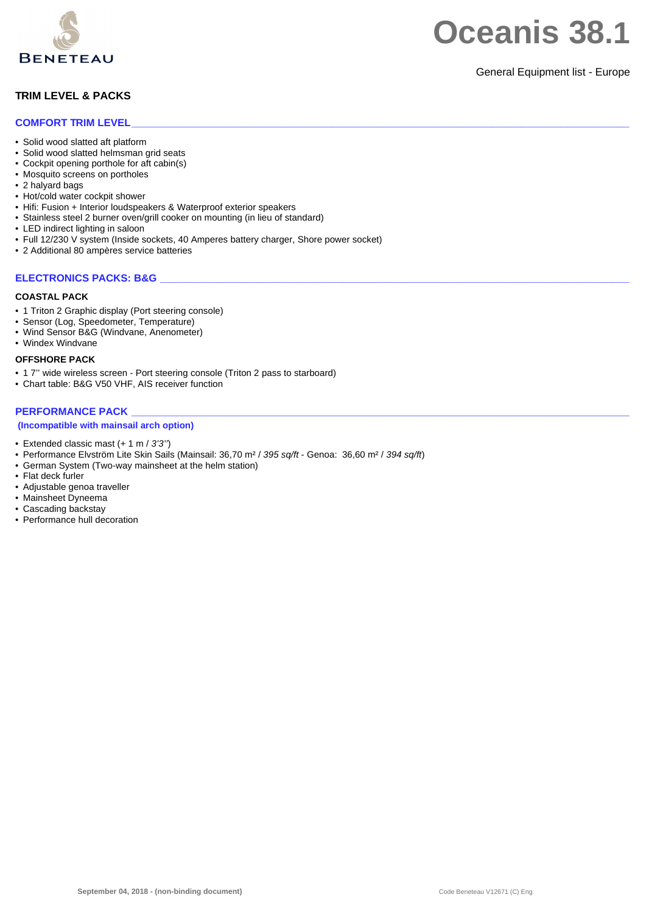

### General Equipment list - Europe

# **TRIM LEVEL & PACKS**

#### **COMFORT TRIM LEVEL\_\_\_\_\_\_\_\_\_\_\_\_\_\_\_\_\_\_\_\_\_\_\_\_\_\_\_\_\_\_\_\_\_\_\_\_\_\_\_\_\_\_\_\_\_\_\_\_\_\_\_\_\_\_\_\_\_\_\_\_\_\_\_\_\_\_\_\_\_\_\_\_\_\_\_\_\_\_\_\_\_\_\_\_\_\_\_**

- Solid wood slatted aft platform
- Solid wood slatted helmsman grid seats
- Cockpit opening porthole for aft cabin(s)
- Mosquito screens on portholes
- 2 halyard bags
- Hot/cold water cockpit shower
- Hifi: Fusion + Interior loudspeakers & Waterproof exterior speakers
- Stainless steel 2 burner oven/grill cooker on mounting (in lieu of standard)
- LED indirect lighting in saloon
- Full 12/230 V system (Inside sockets, 40 Amperes battery charger, Shore power socket)
- 2 Additional 80 ampères service batteries

### **ELECTRONICS PACKS: B&G**

#### **COASTAL PACK**

- 1 Triton 2 Graphic display (Port steering console)
- Sensor (Log, Speedometer, Temperature)
- Wind Sensor B&G (Windvane, Anenometer)

# • Windex Windvane

#### **OFFSHORE PACK**

- 1 7'' wide wireless screen Port steering console (Triton 2 pass to starboard)
- Chart table: B&G V50 VHF, AIS receiver function

### PERFORMANCE PACK

#### **(Incompatible with mainsail arch option)**

- Extended classic mast (+ 1 m / *3'3''*)
- Performance Elvström Lite Skin Sails (Mainsail: 36,70 m² / *395 sq/ft* Genoa: 36,60 m² / *394 sq/ft*)
- German System (Two-way mainsheet at the helm station)
- Flat deck furler
- Adjustable genoa traveller
- Mainsheet Dyneema • Cascading backstay
- Performance hull decoration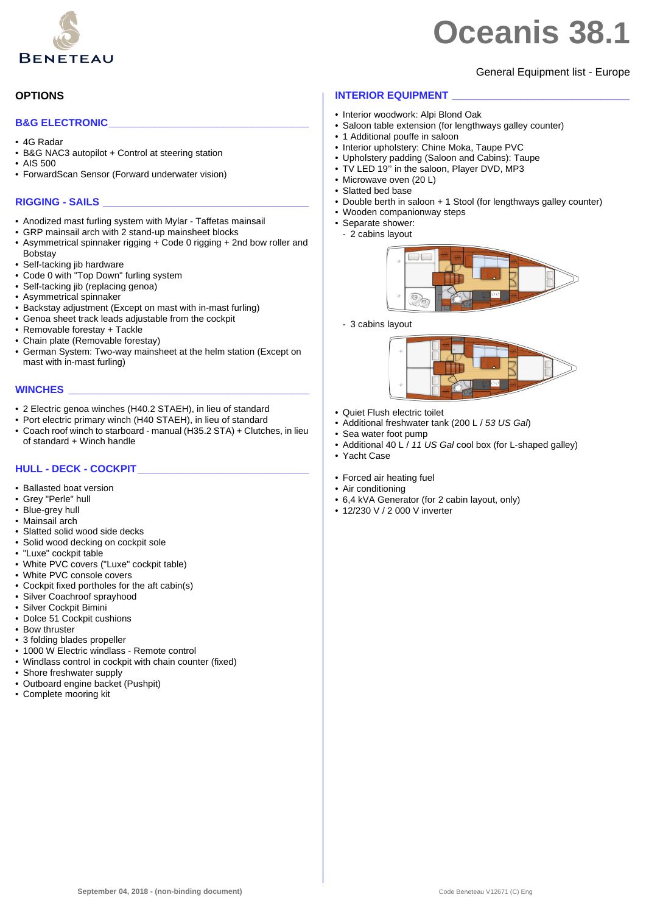

## General Equipment list - Europe

### **OPTIONS**

#### **B&G ELECTRONIC\_\_\_\_\_\_\_\_\_\_\_\_\_\_\_\_\_\_\_\_\_\_\_\_\_\_\_\_\_\_\_\_\_\_\_**

- 4G Radar
- B&G NAC3 autopilot + Control at steering station
- AIS 500
- ForwardScan Sensor (Forward underwater vision)

#### **RIGGING - SAILS \_\_\_\_\_\_\_\_\_\_\_\_\_\_\_\_\_\_\_\_\_\_\_\_\_\_\_\_\_\_\_\_\_\_\_\_**

- Anodized mast furling system with Mylar Taffetas mainsail
- GRP mainsail arch with 2 stand-up mainsheet blocks
- Asymmetrical spinnaker rigging + Code 0 rigging + 2nd bow roller and **Bobstav**
- Self-tacking jib hardware
- Code 0 with "Top Down" furling system
- Self-tacking jib (replacing genoa)
- Asymmetrical spinnaker
- Backstay adjustment (Except on mast with in-mast furling)
- Genoa sheet track leads adjustable from the cockpit
- Removable forestay + Tackle
- Chain plate (Removable forestay)
- German System: Two-way mainsheet at the helm station (Except on mast with in-mast furling)

#### **WINCHES \_\_\_\_\_\_\_\_\_\_\_\_\_\_\_\_\_\_\_\_\_\_\_\_\_\_\_\_\_\_\_\_\_\_\_\_\_\_\_\_\_\_**

- 2 Electric genoa winches (H40.2 STAEH), in lieu of standard
- Port electric primary winch (H40 STAEH), in lieu of standard
- Coach roof winch to starboard manual (H35.2 STA) + Clutches, in lieu of standard + Winch handle

### **HULL - DECK - COCKPIT\_\_\_\_\_\_\_\_\_\_\_\_\_\_\_\_\_\_\_\_\_\_\_\_\_\_\_\_\_\_**

- Ballasted boat version
- Grey "Perle" hull
- Blue-grey hull
- Mainsail arch
- Slatted solid wood side decks
- Solid wood decking on cockpit sole
- "Luxe" cockpit table
- White PVC covers ("Luxe" cockpit table)
- White PVC console covers
- Cockpit fixed portholes for the aft cabin(s)
- Silver Coachroof sprayhood
- Silver Cockpit Bimini
- Dolce 51 Cockpit cushions
- Bow thruster
- 3 folding blades propeller
- 1000 W Electric windlass Remote control
- Windlass control in cockpit with chain counter (fixed)
- Shore freshwater supply
- Outboard engine backet (Pushpit)
- Complete mooring kit

### **INTERIOR EQUIPMENT**

- Interior woodwork: Alpi Blond Oak
- Saloon table extension (for lengthways galley counter)
- 1 Additional pouffe in saloon
- Interior upholstery: Chine Moka, Taupe PVC
- Upholstery padding (Saloon and Cabins): Taupe
- 
- 
- 
- 
- Wooden companionway steps
- Separate shower:
	- 2 cabins layout



- 3 cabins layout



- Quiet Flush electric toilet
- Additional freshwater tank (200 L / *53 US Gal*)
- Sea water foot pump
- Additional 40 L / 11 US Gal cool box (for L-shaped galley)
- Yacht Case
- Forced air heating fuel
- Air conditioning
- 6,4 kVA Generator (for 2 cabin layout, only)
- 12/230 V / 2 000 V inverter
- TV LED 19'' in the saloon, Player DVD, MP3
- Microwave oven (20 L)
- Slatted bed base

# • Double berth in saloon + 1 Stool (for lengthways galley counter)